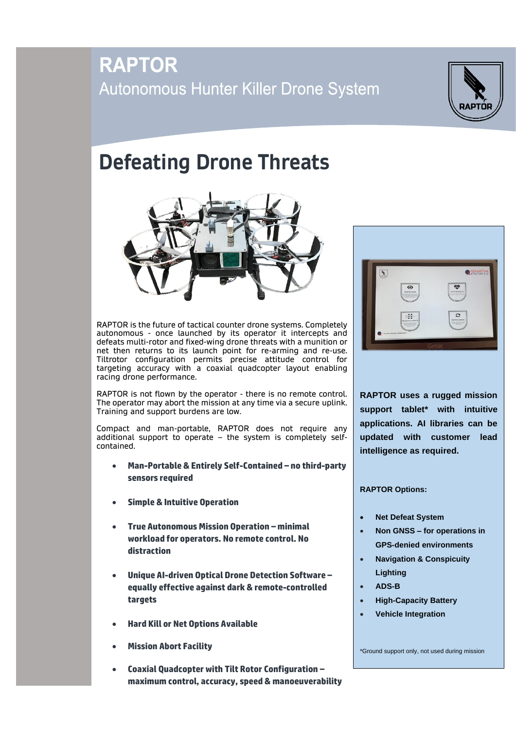## **RAPTOR** Autonomous Hunter Killer Drone System



## **Defeating Drone Threats**



RAPTOR is the future of tactical counter drone systems. Completely autonomous - once launched by its operator it intercepts and defeats multi-rotor and fixed-wing drone threats with a munition or net then returns to its launch point for re-arming and re-use. Tiltrotor configuration permits precise attitude control for targeting accuracy with a coaxial quadcopter layout enabling racing drone performance.

RAPTOR is not flown by the operator - there is no remote control. The operator may abort the mission at any time via a secure uplink. Training and support burdens are low.

Compact and man-portable, RAPTOR does not require any additional support to operate – the system is completely selfcontained.

- **Man-Portable & Entirely Self-Contained – no third-party sensors required**
- **Simple & Intuitive Operation**
- **True Autonomous Mission Operation – minimal workload for operators. No remote control. No distraction**
- **Unique AI-driven Optical Drone Detection Software – equally effective against dark & remote-controlled targets**
- **Hard Kill or Net Options Available**
- **Mission Abort Facility**
- **Coaxial Quadcopter with Tilt Rotor Configuration – maximum control, accuracy, speed & manoeuverability**



**RAPTOR uses a rugged mission support tablet\* with intuitive applications. AI libraries can be updated with customer lead intelligence as required.**

**RAPTOR Options:**

- **Net Defeat System**
- **Non GNSS – for operations in GPS-denied environments**
- **Navigation & Conspicuity Lighting**
- **ADS-B**
- **High-Capacity Battery**
- **Vehicle Integration**

\*Ground support only, not used during mission